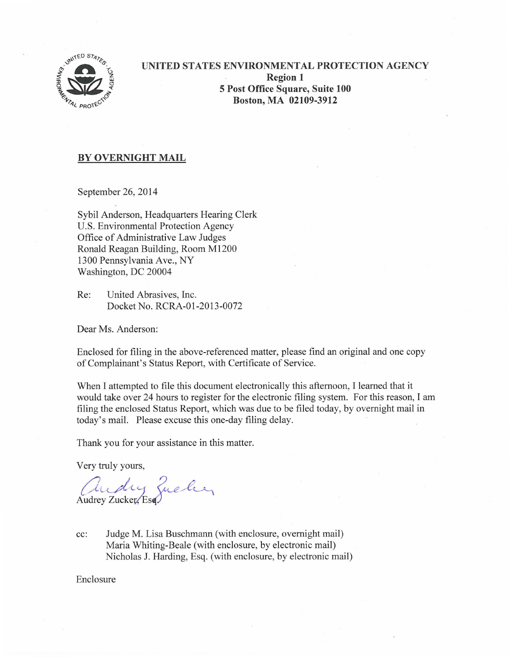

# **UNITED STATES ENVIRONMENTAL PROTECTION AGENCY Region 1 5 Post Office Square, Suite 100 Boston, MA 02109-3912**

## **BY OVERNIGHT MAIL**

September 26, 2014

Sybil Anderson, Headquarters Hearing Clerk U.S. Environmental Protection Agency Office of Administrative Law Judges Ronald Reagan Building, Room M1200 1300 Pennsylvania Ave., NY Washington, DC 20004

Re: United Abrasives, Inc. Docket No. RCRA-01 -2013-0072

Dear Ms. Anderson:

Enclosed for filing in the above-referenced matter, please find an original and one copy of Complainant's Status Report, with Certificate of Service.

When I attempted to file this document electronically this afternoon, I learned that it would take over 24 hours to register for the electronic filing system. For this reason, I am filing the enclosed Status Report, which was due to be filed today, by overnight mail in today's mail. Please excuse this one-day filing delay.

Thank you for your assistance in this matter.

Very truly yours,

andry Zucker,

cc: Judge M. Lisa Buschmann (with enclosure, overnight mail) Maria Whiting-Beale (with enclosure, by electronic mail) Nicholas J. Harding, Esq. (with enclosure, by electronic mail)

Enclosure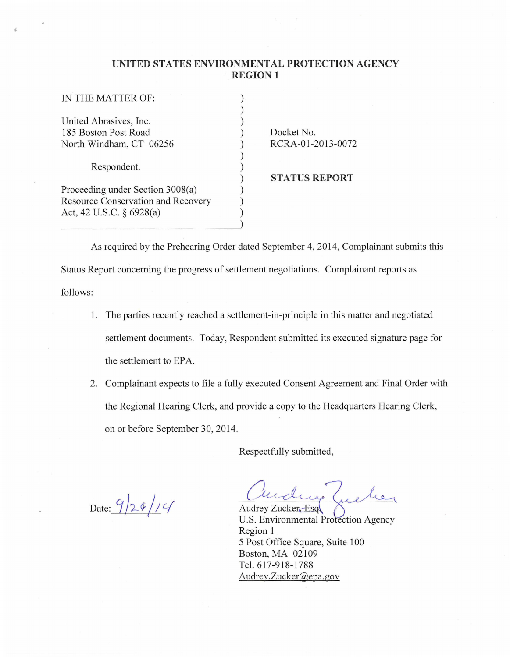### **UNITED STATES ENVIRONMENTAL PROTECTION AGENCY REGION 1**

| IN THE MATTER OF:                  |  |
|------------------------------------|--|
|                                    |  |
| United Abrasives, Inc.             |  |
| 185 Boston Post Road               |  |
| North Windham, CT 06256            |  |
|                                    |  |
| Respondent.                        |  |
|                                    |  |
| Proceeding under Section 3008(a)   |  |
| Resource Conservation and Recovery |  |
| Act, 42 U.S.C. $\S$ 6928(a)        |  |
|                                    |  |

Docket No. RCRA-01 -2013-0072

**STATUS REPORT** 

As required by the Prehearing Order dated September 4, 2014, Complainant submits this Status Report concerning the progress of settlement negotiations. Complainant reports as follows:

- 1. The parties recently reached a settlement-in-principle in this matter and negotiated settlement documents. Today, Respondent submitted its executed signature page for the settlement to EPA
- 2. Complainant expects to file a fully executed Consent Agreement and Final Order with the Regional Hearing Clerk, and provide a copy to the Headquarters Hearing Clerk, on or before September 30, 2014.

Respectfully submitted,

Date:  $9/29/19$ 

Audrey Zucker-Esq

U.S. Environmental Protection Agency Region 1 5 Post Office Square, Suite 100 Boston, MA 02109 Tel. 617-918-1788 Audrey.Zucker@epa. gov